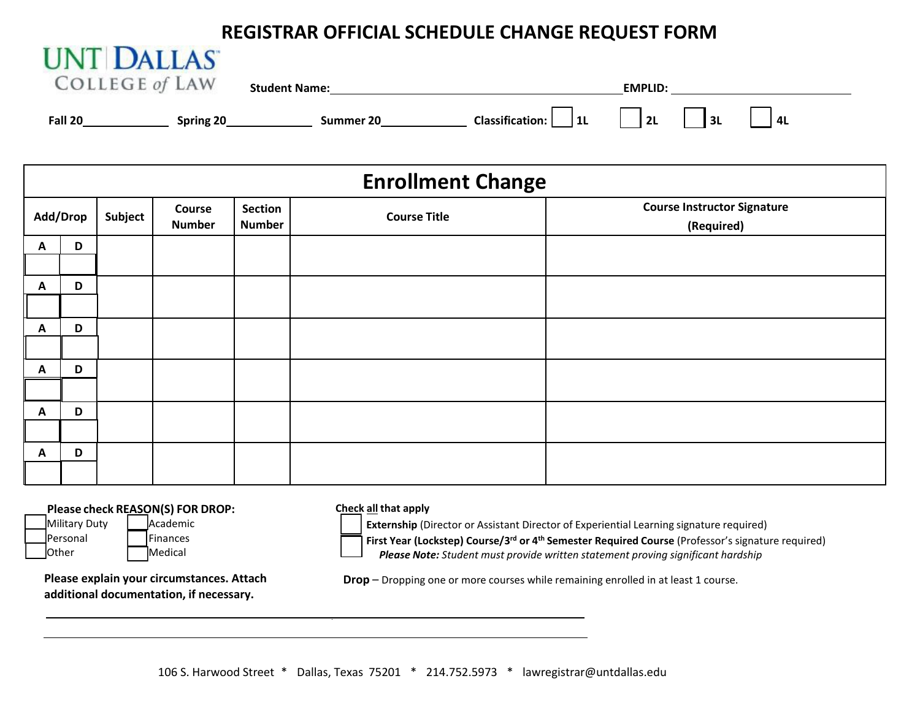## **REGISTRAR OFFICIAL SCHEDULE CHANGE REQUEST FORM**

| UNI DALLAS            |           |                      |                          |                                  |    |  |
|-----------------------|-----------|----------------------|--------------------------|----------------------------------|----|--|
| <b>COLLEGE of LAW</b> |           | <b>Student Name:</b> |                          | <b>EMPLID:</b>                   |    |  |
| <b>Fall 20</b>        | Spring 20 | Summer 20            | Classification: $ $   1L | $\vert$ $\vert$ 2L<br>$\vert$ 3L | 4L |  |

| <b>Enrollment Change</b> |   |         |                         |                          |                     |                                                  |  |  |  |  |
|--------------------------|---|---------|-------------------------|--------------------------|---------------------|--------------------------------------------------|--|--|--|--|
| Add/Drop                 |   | Subject | Course<br><b>Number</b> | Section<br><b>Number</b> | <b>Course Title</b> | <b>Course Instructor Signature</b><br>(Required) |  |  |  |  |
| A                        | D |         |                         |                          |                     |                                                  |  |  |  |  |
| $\mathbf{A}$             | D |         |                         |                          |                     |                                                  |  |  |  |  |
| $\mathbf{A}$             | D |         |                         |                          |                     |                                                  |  |  |  |  |
| A                        | D |         |                         |                          |                     |                                                  |  |  |  |  |
| $\mathbf{A}$             | D |         |                         |                          |                     |                                                  |  |  |  |  |
| A                        | D |         |                         |                          |                     |                                                  |  |  |  |  |

## **Please check REASON(S) FOR DROP:**

**IINT DITIO** 

Personal | Finances Other Medical

Military Duty | Academic

**Check all that apply**

**Externship** (Director or Assistant Director of Experiential Learning signature required) **First Year (Lockstep) Course/3rd or 4th Semester Required Course** (Professor's signature required)

**Please explain your circumstances. Attach additional documentation, if necessary.**

**Drop** – Dropping one or more courses while remaining enrolled in at least 1 course.

*Please Note: Student must provide written statement proving significant hardship*